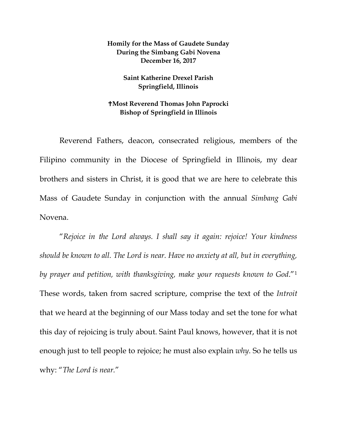## **Homily for the Mass of Gaudete Sunday During the Simbang Gabi Novena December 16, 2017**

## **Saint Katherine Drexel Parish Springfield, Illinois**

## **Most Reverend Thomas John Paprocki Bishop of Springfield in Illinois**

Reverend Fathers, deacon, consecrated religious, members of the Filipino community in the Diocese of Springfield in Illinois, my dear brothers and sisters in Christ, it is good that we are here to celebrate this Mass of Gaudete Sunday in conjunction with the annual *Simbang Gabi* Novena.

"*Rejoice in the Lord always. I shall say it again: rejoice! Your kindness should be known to all. The Lord is near. Have no anxiety at all, but in everything, by prayer and petition, with thanksgiving, make your requests known to God*."[1](#page-4-0) These words, taken from sacred scripture, comprise the text of the *Introit* that we heard at the beginning of our Mass today and set the tone for what this day of rejoicing is truly about. Saint Paul knows, however, that it is not enough just to tell people to rejoice; he must also explain *why*. So he tells us why: "*The Lord is near.*"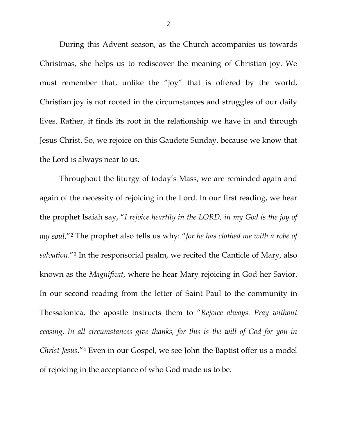During this Advent season, as the Church accompanies us towards Christmas, she helps us to rediscover the meaning of Christian joy. We must remember that, unlike the "joy" that is offered by the world, Christian joy is not rooted in the circumstances and struggles of our daily lives. Rather, it finds its root in the relationship we have in and through Jesus Christ. So, we rejoice on this Gaudete Sunday, because we know that the Lord is always near to us.

Throughout the liturgy of today's Mass, we are reminded again and again of the necessity of rejoicing in the Lord. In our first reading, we hear the prophet Isaiah say, "*I rejoice heartily in the LORD, in my God is the joy of my soul*."[2](#page-4-1) The prophet also tells us why: "*for he has clothed me with a robe of salvation*."[3](#page-4-2) In the responsorial psalm, we recited the Canticle of Mary, also known as the *Magnificat*, where he hear Mary rejoicing in God her Savior. In our second reading from the letter of Saint Paul to the community in Thessalonica, the apostle instructs them to "*Rejoice always. Pray without ceasing. In all circumstances give thanks, for this is the will of God for you in Christ Jesus*."[4](#page-4-3) Even in our Gospel, we see John the Baptist offer us a model of rejoicing in the acceptance of who God made us to be.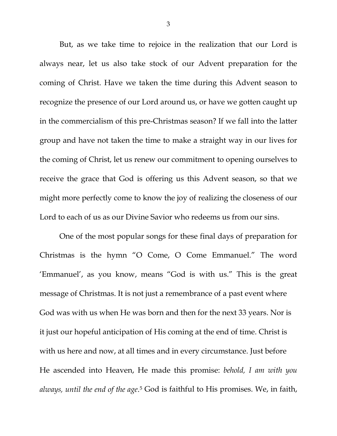But, as we take time to rejoice in the realization that our Lord is always near, let us also take stock of our Advent preparation for the coming of Christ. Have we taken the time during this Advent season to recognize the presence of our Lord around us, or have we gotten caught up in the commercialism of this pre-Christmas season? If we fall into the latter group and have not taken the time to make a straight way in our lives for the coming of Christ, let us renew our commitment to opening ourselves to receive the grace that God is offering us this Advent season, so that we might more perfectly come to know the joy of realizing the closeness of our Lord to each of us as our Divine Savior who redeems us from our sins.

One of the most popular songs for these final days of preparation for Christmas is the hymn "O Come, O Come Emmanuel." The word 'Emmanuel', as you know, means "God is with us." This is the great message of Christmas. It is not just a remembrance of a past event where God was with us when He was born and then for the next 33 years. Nor is it just our hopeful anticipation of His coming at the end of time. Christ is with us here and now, at all times and in every circumstance. Just before He ascended into Heaven, He made this promise: *behold, I am with you always, until the end of the age*.[5](#page-4-4) God is faithful to His promises. We, in faith,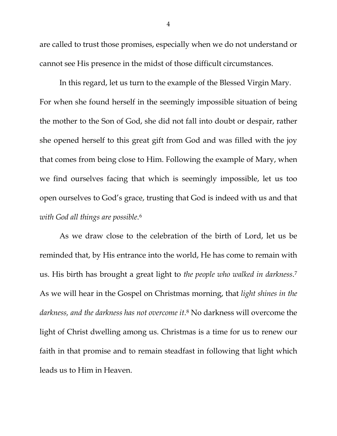are called to trust those promises, especially when we do not understand or cannot see His presence in the midst of those difficult circumstances.

In this regard, let us turn to the example of the Blessed Virgin Mary. For when she found herself in the seemingly impossible situation of being the mother to the Son of God, she did not fall into doubt or despair, rather she opened herself to this great gift from God and was filled with the joy that comes from being close to Him. Following the example of Mary, when we find ourselves facing that which is seemingly impossible, let us too open ourselves to God's grace, trusting that God is indeed with us and that *with God all things are possible*.[6](#page-4-5)

As we draw close to the celebration of the birth of Lord, let us be reminded that, by His entrance into the world, He has come to remain with us. His birth has brought a great light to *the people who walked in darkness*[.7](#page-4-6) As we will hear in the Gospel on Christmas morning, that *light shines in the darkness, and the darkness has not overcome it*.[8](#page-4-7) No darkness will overcome the light of Christ dwelling among us. Christmas is a time for us to renew our faith in that promise and to remain steadfast in following that light which leads us to Him in Heaven.

4